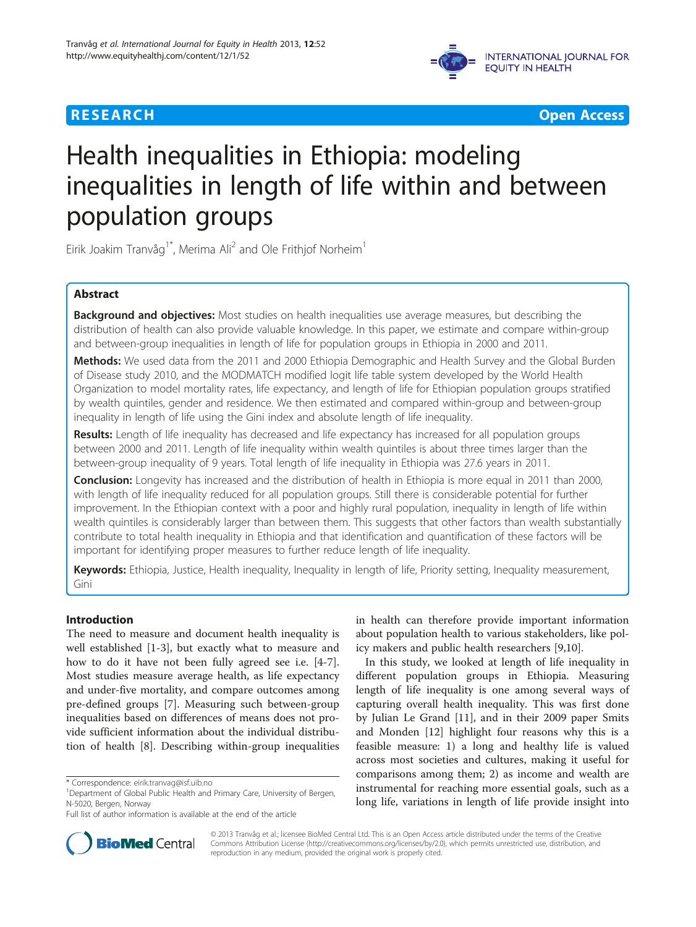



# Health inequalities in Ethiopia: modeling inequalities in length of life within and between population groups

Eirik Joakim Tranvåg<sup>1\*</sup>, Merima Ali<sup>2</sup> and Ole Frithjof Norheim<sup>1</sup>

# Abstract

Background and objectives: Most studies on health inequalities use average measures, but describing the distribution of health can also provide valuable knowledge. In this paper, we estimate and compare within-group and between-group inequalities in length of life for population groups in Ethiopia in 2000 and 2011.

Methods: We used data from the 2011 and 2000 Ethiopia Demographic and Health Survey and the Global Burden of Disease study 2010, and the MODMATCH modified logit life table system developed by the World Health Organization to model mortality rates, life expectancy, and length of life for Ethiopian population groups stratified by wealth quintiles, gender and residence. We then estimated and compared within-group and between-group inequality in length of life using the Gini index and absolute length of life inequality.

Results: Length of life inequality has decreased and life expectancy has increased for all population groups between 2000 and 2011. Length of life inequality within wealth quintiles is about three times larger than the between-group inequality of 9 years. Total length of life inequality in Ethiopia was 27.6 years in 2011.

Conclusion: Longevity has increased and the distribution of health in Ethiopia is more equal in 2011 than 2000, with length of life inequality reduced for all population groups. Still there is considerable potential for further improvement. In the Ethiopian context with a poor and highly rural population, inequality in length of life within wealth quintiles is considerably larger than between them. This suggests that other factors than wealth substantially contribute to total health inequality in Ethiopia and that identification and quantification of these factors will be important for identifying proper measures to further reduce length of life inequality.

Keywords: Ethiopia, Justice, Health inequality, Inequality in length of life, Priority setting, Inequality measurement, Gini

## Introduction

The need to measure and document health inequality is well established [[1-3](#page-6-0)], but exactly what to measure and how to do it have not been fully agreed see i.e. [[4-7](#page-6-0)]. Most studies measure average health, as life expectancy and under-five mortality, and compare outcomes among pre-defined groups [\[7](#page-6-0)]. Measuring such between-group inequalities based on differences of means does not provide sufficient information about the individual distribution of health [\[8](#page-6-0)]. Describing within-group inequalities

in health can therefore provide important information about population health to various stakeholders, like policy makers and public health researchers [\[9](#page-6-0),[10](#page-6-0)].

In this study, we looked at length of life inequality in different population groups in Ethiopia. Measuring length of life inequality is one among several ways of capturing overall health inequality. This was first done by Julian Le Grand [\[11](#page-6-0)], and in their 2009 paper Smits and Monden [[12\]](#page-6-0) highlight four reasons why this is a feasible measure: 1) a long and healthy life is valued across most societies and cultures, making it useful for comparisons among them; 2) as income and wealth are instrumental for reaching more essential goals, such as a long life, variations in length of life provide insight into



© 2013 Tranvåg et al.; licensee BioMed Central Ltd. This is an Open Access article distributed under the terms of the Creative Commons Attribution License [\(http://creativecommons.org/licenses/by/2.0\)](http://creativecommons.org/licenses/by/2.0), which permits unrestricted use, distribution, and reproduction in any medium, provided the original work is properly cited.

<sup>\*</sup> Correspondence: [eirik.tranvag@isf.uib.no](mailto:eirik.tranvag@isf.uib.no) <sup>1</sup>

<sup>&</sup>lt;sup>1</sup>Department of Global Public Health and Primary Care, University of Bergen, N-5020, Bergen, Norway

Full list of author information is available at the end of the article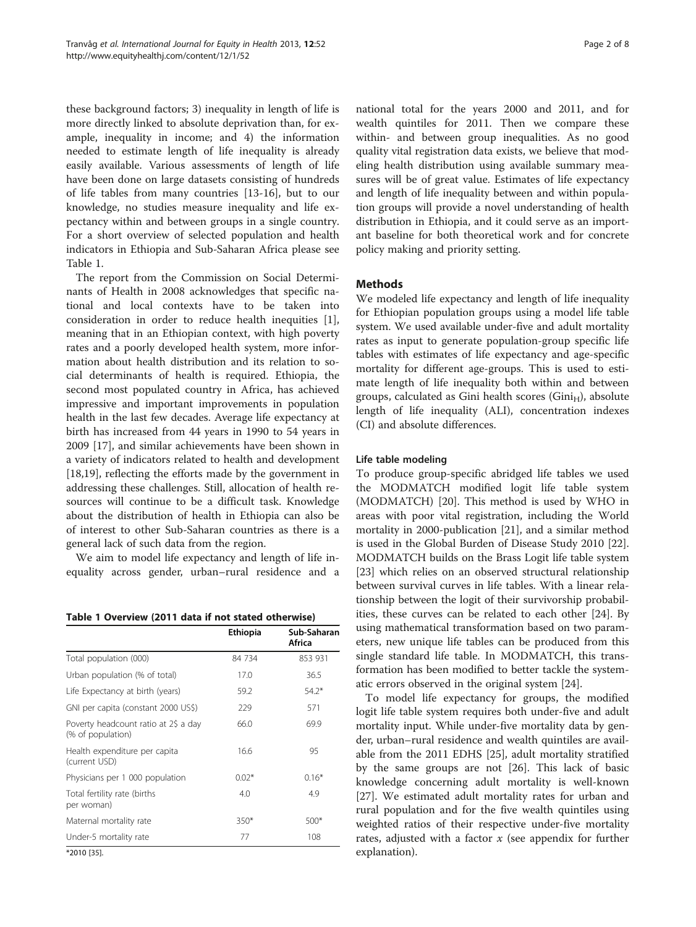these background factors; 3) inequality in length of life is more directly linked to absolute deprivation than, for example, inequality in income; and 4) the information needed to estimate length of life inequality is already easily available. Various assessments of length of life have been done on large datasets consisting of hundreds of life tables from many countries [[13-16](#page-6-0)], but to our knowledge, no studies measure inequality and life expectancy within and between groups in a single country. For a short overview of selected population and health indicators in Ethiopia and Sub-Saharan Africa please see Table 1.

The report from the Commission on Social Determinants of Health in 2008 acknowledges that specific national and local contexts have to be taken into consideration in order to reduce health inequities [\[1](#page-6-0)], meaning that in an Ethiopian context, with high poverty rates and a poorly developed health system, more information about health distribution and its relation to social determinants of health is required. Ethiopia, the second most populated country in Africa, has achieved impressive and important improvements in population health in the last few decades. Average life expectancy at birth has increased from 44 years in 1990 to 54 years in 2009 [[17\]](#page-7-0), and similar achievements have been shown in a variety of indicators related to health and development [[18,19\]](#page-7-0), reflecting the efforts made by the government in addressing these challenges. Still, allocation of health resources will continue to be a difficult task. Knowledge about the distribution of health in Ethiopia can also be of interest to other Sub-Saharan countries as there is a general lack of such data from the region.

We aim to model life expectancy and length of life inequality across gender, urban–rural residence and a

Table 1 Overview (2011 data if not stated otherwise)

|                                                           | <b>Ethiopia</b> | Sub-Saharan<br>Africa |
|-----------------------------------------------------------|-----------------|-----------------------|
| Total population (000)                                    | 84 734          | 853 931               |
| Urban population (% of total)                             | 17.0            | 36.5                  |
| Life Expectancy at birth (years)                          | 59.2            | $54.2*$               |
| GNI per capita (constant 2000 US\$)                       | 229             | 571                   |
| Poverty headcount ratio at 2\$ a day<br>(% of population) | 66.0            | 69.9                  |
| Health expenditure per capita<br>(current USD)            | 16.6            | 95                    |
| Physicians per 1 000 population                           | $0.02*$         | $0.16*$               |
| Total fertility rate (births<br>per woman)                | 4.0             | 4.9                   |
| Maternal mortality rate                                   | $350*$          | $500*$                |
| Under-5 mortality rate                                    | 77              | 108                   |

\*2010 [[35](#page-7-0)].

national total for the years 2000 and 2011, and for wealth quintiles for 2011. Then we compare these within- and between group inequalities. As no good quality vital registration data exists, we believe that modeling health distribution using available summary measures will be of great value. Estimates of life expectancy and length of life inequality between and within population groups will provide a novel understanding of health distribution in Ethiopia, and it could serve as an important baseline for both theoretical work and for concrete policy making and priority setting.

## **Methods**

We modeled life expectancy and length of life inequality for Ethiopian population groups using a model life table system. We used available under-five and adult mortality rates as input to generate population-group specific life tables with estimates of life expectancy and age-specific mortality for different age-groups. This is used to estimate length of life inequality both within and between groups, calculated as Gini health scores ( $Gini<sub>H</sub>$ ), absolute length of life inequality (ALI), concentration indexes (CI) and absolute differences.

### Life table modeling

To produce group-specific abridged life tables we used the MODMATCH modified logit life table system (MODMATCH) [\[20](#page-7-0)]. This method is used by WHO in areas with poor vital registration, including the World mortality in 2000-publication [[21\]](#page-7-0), and a similar method is used in the Global Burden of Disease Study 2010 [\[22](#page-7-0)]. MODMATCH builds on the Brass Logit life table system [[23\]](#page-7-0) which relies on an observed structural relationship between survival curves in life tables. With a linear relationship between the logit of their survivorship probabilities, these curves can be related to each other [\[24](#page-7-0)]. By using mathematical transformation based on two parameters, new unique life tables can be produced from this single standard life table. In MODMATCH, this transformation has been modified to better tackle the systematic errors observed in the original system [\[24](#page-7-0)].

To model life expectancy for groups, the modified logit life table system requires both under-five and adult mortality input. While under-five mortality data by gender, urban–rural residence and wealth quintiles are available from the 2011 EDHS [\[25](#page-7-0)], adult mortality stratified by the same groups are not [\[26](#page-7-0)]. This lack of basic knowledge concerning adult mortality is well-known [[27\]](#page-7-0). We estimated adult mortality rates for urban and rural population and for the five wealth quintiles using weighted ratios of their respective under-five mortality rates, adjusted with a factor  $x$  (see [appendix](#page-6-0) for further explanation).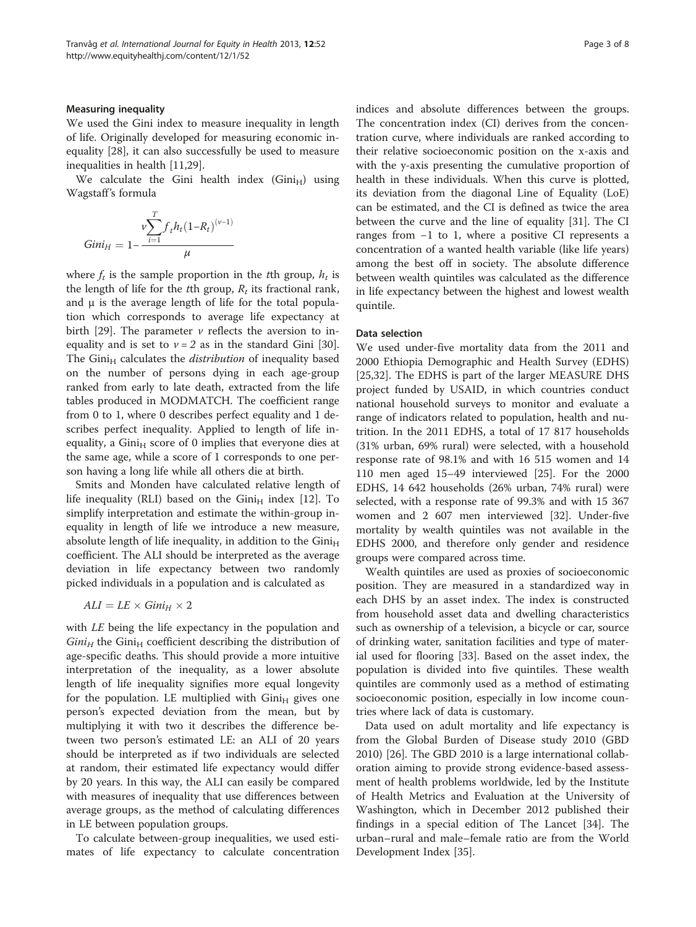#### Measuring inequality

We used the Gini index to measure inequality in length of life. Originally developed for measuring economic inequality [\[28\]](#page-7-0), it can also successfully be used to measure inequalities in health [\[11](#page-6-0)[,29\]](#page-7-0).

We calculate the Gini health index  $(Gini_H)$  using Wagstaff's formula

$$
Gini_{H} = 1 - \frac{v \sum_{i=1}^{T} f_{t} h_{t} (1 - R_{t})^{(v-1)}}{\mu}
$$

where  $f_t$  is the sample proportion in the tth group,  $h_t$  is the length of life for the tth group,  $R_t$  its fractional rank, and  $\mu$  is the average length of life for the total population which corresponds to average life expectancy at birth [[29\]](#page-7-0). The parameter  $\nu$  reflects the aversion to inequality and is set to  $v = 2$  as in the standard Gini [\[30](#page-7-0)]. The Gini $_H$  calculates the *distribution* of inequality based on the number of persons dying in each age-group ranked from early to late death, extracted from the life tables produced in MODMATCH. The coefficient range from 0 to 1, where 0 describes perfect equality and 1 describes perfect inequality. Applied to length of life inequality, a Gini $_H$  score of 0 implies that everyone dies at the same age, while a score of 1 corresponds to one person having a long life while all others die at birth.

Smits and Monden have calculated relative length of life inequality (RLI) based on the  $Gini<sub>H</sub>$  index [[12](#page-6-0)]. To simplify interpretation and estimate the within-group inequality in length of life we introduce a new measure, absolute length of life inequality, in addition to the  $Gini<sub>H</sub>$ coefficient. The ALI should be interpreted as the average deviation in life expectancy between two randomly picked individuals in a population and is calculated as

$$
ALI = LE \times Gini_H \times 2
$$

with LE being the life expectancy in the population and  $Gini<sub>H</sub>$  the Gini<sub>H</sub> coefficient describing the distribution of age-specific deaths. This should provide a more intuitive interpretation of the inequality, as a lower absolute length of life inequality signifies more equal longevity for the population. LE multiplied with  $Gini<sub>H</sub>$  gives one person's expected deviation from the mean, but by multiplying it with two it describes the difference between two person's estimated LE: an ALI of 20 years should be interpreted as if two individuals are selected at random, their estimated life expectancy would differ by 20 years. In this way, the ALI can easily be compared with measures of inequality that use differences between average groups, as the method of calculating differences in LE between population groups.

To calculate between-group inequalities, we used estimates of life expectancy to calculate concentration indices and absolute differences between the groups. The concentration index (CI) derives from the concentration curve, where individuals are ranked according to their relative socioeconomic position on the x-axis and with the y-axis presenting the cumulative proportion of health in these individuals. When this curve is plotted, its deviation from the diagonal Line of Equality (LoE) can be estimated, and the CI is defined as twice the area between the curve and the line of equality [[31\]](#page-7-0). The CI ranges from −1 to 1, where a positive CI represents a concentration of a wanted health variable (like life years) among the best off in society. The absolute difference between wealth quintiles was calculated as the difference in life expectancy between the highest and lowest wealth quintile.

## Data selection

We used under-five mortality data from the 2011 and 2000 Ethiopia Demographic and Health Survey (EDHS) [[25,32\]](#page-7-0). The EDHS is part of the larger MEASURE DHS project funded by USAID, in which countries conduct national household surveys to monitor and evaluate a range of indicators related to population, health and nutrition. In the 2011 EDHS, a total of 17 817 households (31% urban, 69% rural) were selected, with a household response rate of 98.1% and with 16 515 women and 14 110 men aged 15–49 interviewed [\[25](#page-7-0)]. For the 2000 EDHS, 14 642 households (26% urban, 74% rural) were selected, with a response rate of 99.3% and with 15 367 women and 2 607 men interviewed [[32\]](#page-7-0). Under-five mortality by wealth quintiles was not available in the EDHS 2000, and therefore only gender and residence groups were compared across time.

Wealth quintiles are used as proxies of socioeconomic position. They are measured in a standardized way in each DHS by an asset index. The index is constructed from household asset data and dwelling characteristics such as ownership of a television, a bicycle or car, source of drinking water, sanitation facilities and type of material used for flooring [\[33](#page-7-0)]. Based on the asset index, the population is divided into five quintiles. These wealth quintiles are commonly used as a method of estimating socioeconomic position, especially in low income countries where lack of data is customary.

Data used on adult mortality and life expectancy is from the Global Burden of Disease study 2010 (GBD 2010) [[26](#page-7-0)]. The GBD 2010 is a large international collaboration aiming to provide strong evidence-based assessment of health problems worldwide, led by the Institute of Health Metrics and Evaluation at the University of Washington, which in December 2012 published their findings in a special edition of The Lancet [\[34\]](#page-7-0). The urban–rural and male–female ratio are from the World Development Index [\[35](#page-7-0)].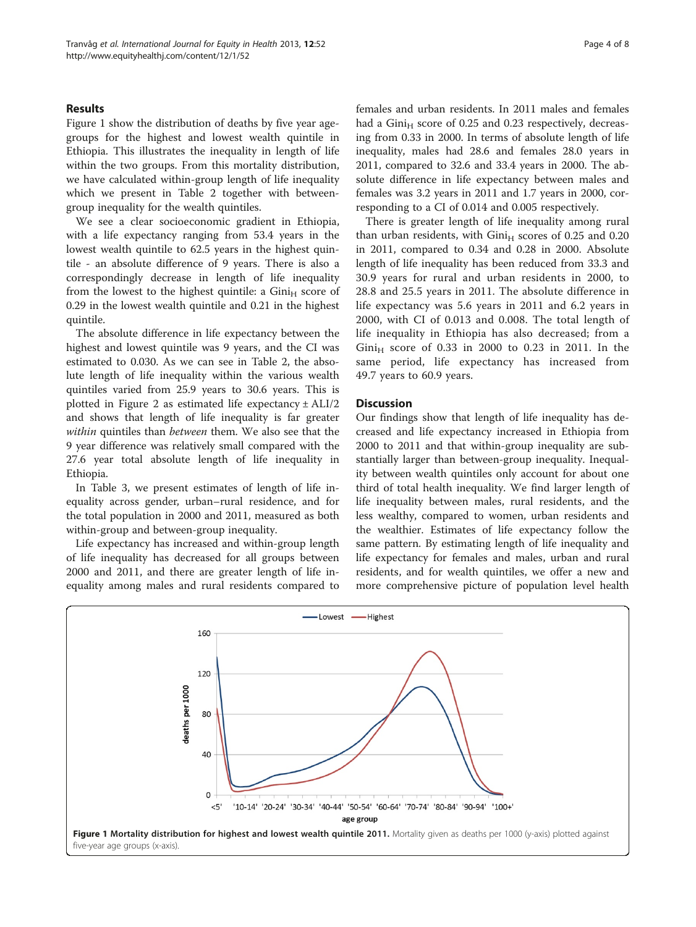## Results

Figure 1 show the distribution of deaths by five year agegroups for the highest and lowest wealth quintile in Ethiopia. This illustrates the inequality in length of life within the two groups. From this mortality distribution, we have calculated within-group length of life inequality which we present in Table [2](#page-4-0) together with betweengroup inequality for the wealth quintiles.

We see a clear socioeconomic gradient in Ethiopia, with a life expectancy ranging from 53.4 years in the lowest wealth quintile to 62.5 years in the highest quintile - an absolute difference of 9 years. There is also a correspondingly decrease in length of life inequality from the lowest to the highest quintile: a  $Gini<sub>H</sub>$  score of 0.29 in the lowest wealth quintile and 0.21 in the highest quintile.

The absolute difference in life expectancy between the highest and lowest quintile was 9 years, and the CI was estimated to 0.030. As we can see in Table [2](#page-4-0), the absolute length of life inequality within the various wealth quintiles varied from 25.9 years to 30.6 years. This is plotted in Figure [2](#page-4-0) as estimated life expectancy  $\pm$  ALI/2 and shows that length of life inequality is far greater within quintiles than between them. We also see that the 9 year difference was relatively small compared with the 27.6 year total absolute length of life inequality in Ethiopia.

In Table [3](#page-5-0), we present estimates of length of life inequality across gender, urban–rural residence, and for the total population in 2000 and 2011, measured as both within-group and between-group inequality.

Life expectancy has increased and within-group length of life inequality has decreased for all groups between 2000 and 2011, and there are greater length of life inequality among males and rural residents compared to females and urban residents. In 2011 males and females had a  $Gini_H$  score of 0.25 and 0.23 respectively, decreasing from 0.33 in 2000. In terms of absolute length of life inequality, males had 28.6 and females 28.0 years in 2011, compared to 32.6 and 33.4 years in 2000. The absolute difference in life expectancy between males and females was 3.2 years in 2011 and 1.7 years in 2000, corresponding to a CI of 0.014 and 0.005 respectively.

There is greater length of life inequality among rural than urban residents, with  $Gini_H$  scores of 0.25 and 0.20 in 2011, compared to 0.34 and 0.28 in 2000. Absolute length of life inequality has been reduced from 33.3 and 30.9 years for rural and urban residents in 2000, to 28.8 and 25.5 years in 2011. The absolute difference in life expectancy was 5.6 years in 2011 and 6.2 years in 2000, with CI of 0.013 and 0.008. The total length of life inequality in Ethiopia has also decreased; from a  $Gini_H$  score of 0.33 in 2000 to 0.23 in 2011. In the same period, life expectancy has increased from 49.7 years to 60.9 years.

## **Discussion**

Our findings show that length of life inequality has decreased and life expectancy increased in Ethiopia from 2000 to 2011 and that within-group inequality are substantially larger than between-group inequality. Inequality between wealth quintiles only account for about one third of total health inequality. We find larger length of life inequality between males, rural residents, and the less wealthy, compared to women, urban residents and the wealthier. Estimates of life expectancy follow the same pattern. By estimating length of life inequality and life expectancy for females and males, urban and rural residents, and for wealth quintiles, we offer a new and more comprehensive picture of population level health

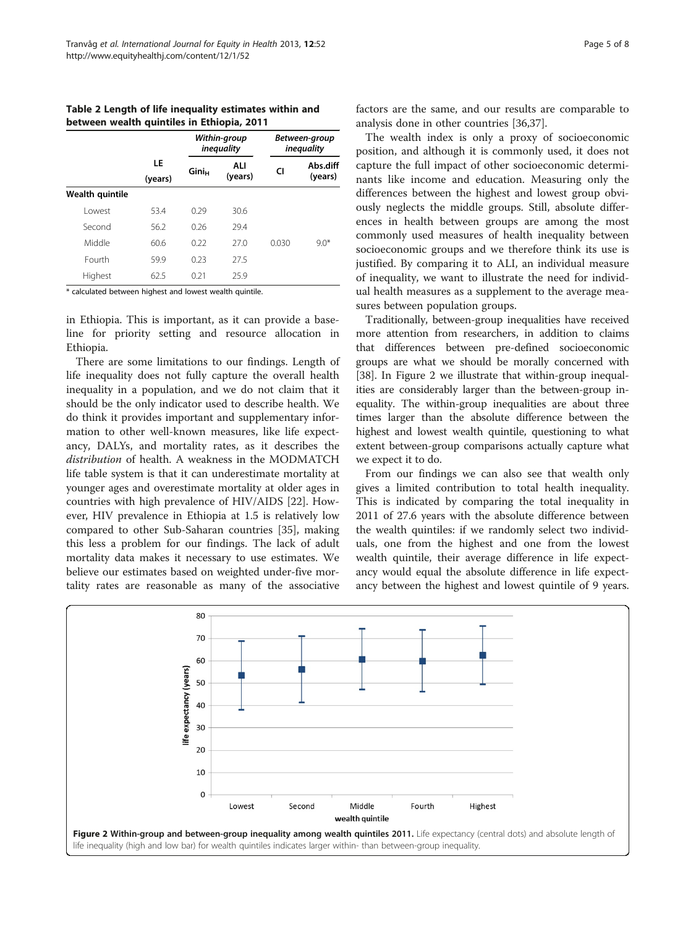<span id="page-4-0"></span>Table 2 Length of life inequality estimates within and between wealth quintiles in Ethiopia, 2011

|                 | LE<br>(years) | Within-group<br><i>inequality</i> |                | Between-group<br>inequality |                     |
|-----------------|---------------|-----------------------------------|----------------|-----------------------------|---------------------|
|                 |               | Gini <sub>H</sub>                 | ALI<br>(years) | CI                          | Abs.diff<br>(years) |
| Wealth quintile |               |                                   |                |                             |                     |
| I owest         | 53.4          | 0.29                              | 30.6           |                             |                     |
| Second          | 56.2          | 0.26                              | 29.4           | 0.030                       | $9.0*$              |
| Middle          | 60.6          | 0.22                              | 270            |                             |                     |
| Fourth          | 59.9          | 0.23                              | 275            |                             |                     |
| Highest         | 62.5          | 0.21                              | 25.9           |                             |                     |

\* calculated between highest and lowest wealth quintile.

in Ethiopia. This is important, as it can provide a baseline for priority setting and resource allocation in Ethiopia.

There are some limitations to our findings. Length of life inequality does not fully capture the overall health inequality in a population, and we do not claim that it should be the only indicator used to describe health. We do think it provides important and supplementary information to other well-known measures, like life expectancy, DALYs, and mortality rates, as it describes the distribution of health. A weakness in the MODMATCH life table system is that it can underestimate mortality at younger ages and overestimate mortality at older ages in countries with high prevalence of HIV/AIDS [[22\]](#page-7-0). However, HIV prevalence in Ethiopia at 1.5 is relatively low compared to other Sub-Saharan countries [[35\]](#page-7-0), making this less a problem for our findings. The lack of adult mortality data makes it necessary to use estimates. We believe our estimates based on weighted under-five mortality rates are reasonable as many of the associative factors are the same, and our results are comparable to analysis done in other countries [[36,37](#page-7-0)].

The wealth index is only a proxy of socioeconomic position, and although it is commonly used, it does not capture the full impact of other socioeconomic determinants like income and education. Measuring only the differences between the highest and lowest group obviously neglects the middle groups. Still, absolute differences in health between groups are among the most commonly used measures of health inequality between socioeconomic groups and we therefore think its use is justified. By comparing it to ALI, an individual measure of inequality, we want to illustrate the need for individual health measures as a supplement to the average measures between population groups.

Traditionally, between-group inequalities have received more attention from researchers, in addition to claims that differences between pre-defined socioeconomic groups are what we should be morally concerned with [[38](#page-7-0)]. In Figure 2 we illustrate that within-group inequalities are considerably larger than the between-group inequality. The within-group inequalities are about three times larger than the absolute difference between the highest and lowest wealth quintile, questioning to what extent between-group comparisons actually capture what we expect it to do.

From our findings we can also see that wealth only gives a limited contribution to total health inequality. This is indicated by comparing the total inequality in 2011 of 27.6 years with the absolute difference between the wealth quintiles: if we randomly select two individuals, one from the highest and one from the lowest wealth quintile, their average difference in life expectancy would equal the absolute difference in life expectancy between the highest and lowest quintile of 9 years.

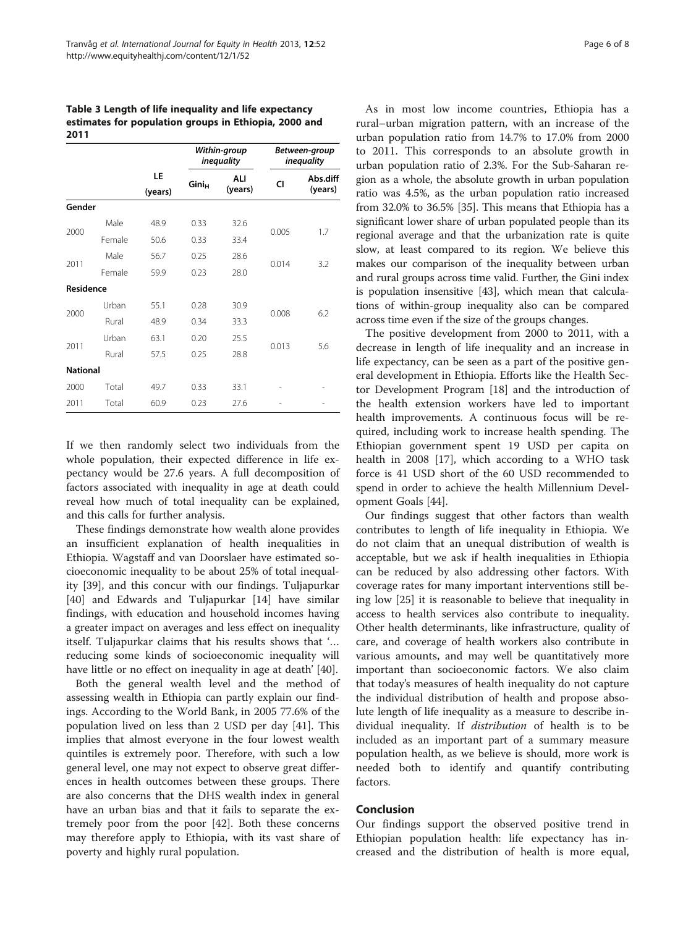<span id="page-5-0"></span>Table 3 Length of life inequality and life expectancy estimates for population groups in Ethiopia, 2000 and 2011

|                 |        | LE<br>(years) |                          | Within-group<br>inequality |       | Between-group<br><i>inequality</i> |
|-----------------|--------|---------------|--------------------------|----------------------------|-------|------------------------------------|
|                 |        |               | <b>Gini</b> <sub>H</sub> | ALI<br>(years)             | CI    | Abs.diff<br>(years)                |
| Gender          |        |               |                          |                            |       |                                    |
| 2000            | Male   | 48.9          | 0.33                     | 32.6                       | 0.005 | 1.7                                |
|                 | Female | 50.6          | 0.33                     | 33.4                       |       |                                    |
| 2011            | Male   | 56.7          | 0.25                     | 28.6                       | 0.014 | 3.2                                |
|                 | Female | 59.9          | 0.23                     | 28.0                       |       |                                    |
| Residence       |        |               |                          |                            |       |                                    |
| 2000            | Urban  | 55.1          | 0.28                     | 30.9                       | 0.008 | 6.2                                |
|                 | Rural  | 48.9          | 0.34                     | 33.3                       |       |                                    |
| 2011            | Urban  | 63.1          | 0.20                     | 25.5                       | 0.013 | 5.6                                |
|                 | Rural  | 57.5          | 0.25                     | 28.8                       |       |                                    |
| <b>National</b> |        |               |                          |                            |       |                                    |
| 2000            | Total  | 49.7          | 0.33                     | 33.1                       |       |                                    |
| 2011            | Total  | 60.9          | 0.23                     | 27.6                       |       |                                    |

If we then randomly select two individuals from the whole population, their expected difference in life expectancy would be 27.6 years. A full decomposition of factors associated with inequality in age at death could reveal how much of total inequality can be explained, and this calls for further analysis.

These findings demonstrate how wealth alone provides an insufficient explanation of health inequalities in Ethiopia. Wagstaff and van Doorslaer have estimated socioeconomic inequality to be about 25% of total inequality [[39\]](#page-7-0), and this concur with our findings. Tuljapurkar [[40\]](#page-7-0) and Edwards and Tuljapurkar [\[14](#page-6-0)] have similar findings, with education and household incomes having a greater impact on averages and less effect on inequality itself. Tuljapurkar claims that his results shows that '… reducing some kinds of socioeconomic inequality will have little or no effect on inequality in age at death' [\[40](#page-7-0)].

Both the general wealth level and the method of assessing wealth in Ethiopia can partly explain our findings. According to the World Bank, in 2005 77.6% of the population lived on less than 2 USD per day [\[41](#page-7-0)]. This implies that almost everyone in the four lowest wealth quintiles is extremely poor. Therefore, with such a low general level, one may not expect to observe great differences in health outcomes between these groups. There are also concerns that the DHS wealth index in general have an urban bias and that it fails to separate the extremely poor from the poor [\[42](#page-7-0)]. Both these concerns may therefore apply to Ethiopia, with its vast share of poverty and highly rural population.

As in most low income countries, Ethiopia has a rural–urban migration pattern, with an increase of the urban population ratio from 14.7% to 17.0% from 2000 to 2011. This corresponds to an absolute growth in urban population ratio of 2.3%. For the Sub-Saharan region as a whole, the absolute growth in urban population ratio was 4.5%, as the urban population ratio increased from 32.0% to 36.5% [[35](#page-7-0)]. This means that Ethiopia has a significant lower share of urban populated people than its regional average and that the urbanization rate is quite slow, at least compared to its region. We believe this makes our comparison of the inequality between urban and rural groups across time valid. Further, the Gini index is population insensitive [[43](#page-7-0)], which mean that calculations of within-group inequality also can be compared across time even if the size of the groups changes.

The positive development from 2000 to 2011, with a decrease in length of life inequality and an increase in life expectancy, can be seen as a part of the positive general development in Ethiopia. Efforts like the Health Sector Development Program [\[18\]](#page-7-0) and the introduction of the health extension workers have led to important health improvements. A continuous focus will be required, including work to increase health spending. The Ethiopian government spent 19 USD per capita on health in 2008 [\[17](#page-7-0)], which according to a WHO task force is 41 USD short of the 60 USD recommended to spend in order to achieve the health Millennium Development Goals [\[44](#page-7-0)].

Our findings suggest that other factors than wealth contributes to length of life inequality in Ethiopia. We do not claim that an unequal distribution of wealth is acceptable, but we ask if health inequalities in Ethiopia can be reduced by also addressing other factors. With coverage rates for many important interventions still being low [\[25\]](#page-7-0) it is reasonable to believe that inequality in access to health services also contribute to inequality. Other health determinants, like infrastructure, quality of care, and coverage of health workers also contribute in various amounts, and may well be quantitatively more important than socioeconomic factors. We also claim that today's measures of health inequality do not capture the individual distribution of health and propose absolute length of life inequality as a measure to describe individual inequality. If distribution of health is to be included as an important part of a summary measure population health, as we believe is should, more work is needed both to identify and quantify contributing factors.

## Conclusion

Our findings support the observed positive trend in Ethiopian population health: life expectancy has increased and the distribution of health is more equal,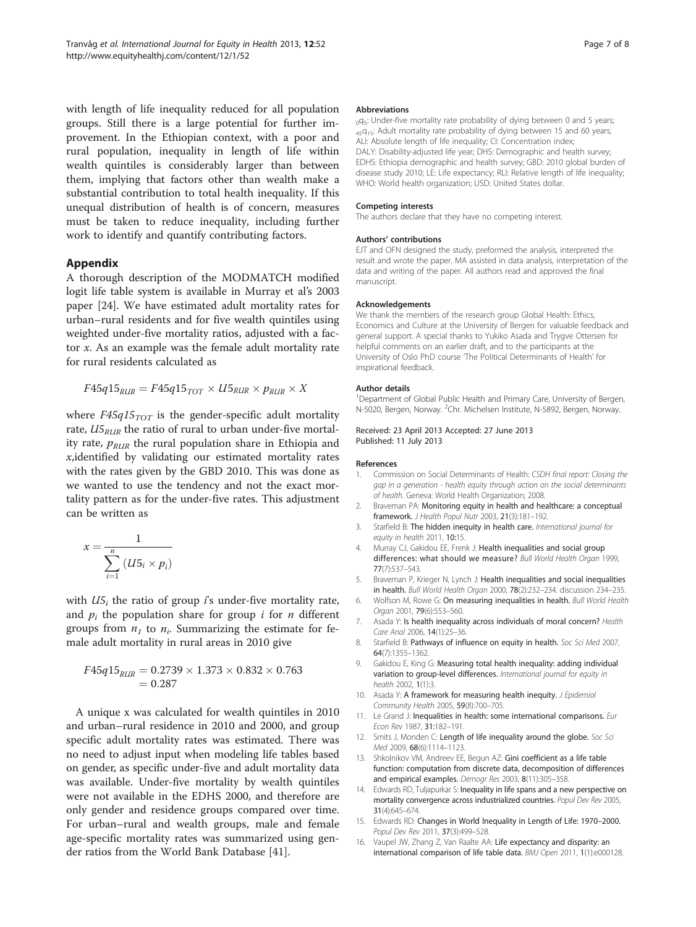<span id="page-6-0"></span>with length of life inequality reduced for all population groups. Still there is a large potential for further improvement. In the Ethiopian context, with a poor and rural population, inequality in length of life within wealth quintiles is considerably larger than between them, implying that factors other than wealth make a substantial contribution to total health inequality. If this unequal distribution of health is of concern, measures must be taken to reduce inequality, including further work to identify and quantify contributing factors.

## Appendix

A thorough description of the MODMATCH modified logit life table system is available in Murray et al's 2003 paper [[24\]](#page-7-0). We have estimated adult mortality rates for urban–rural residents and for five wealth quintiles using weighted under-five mortality ratios, adjusted with a factor x. As an example was the female adult mortality rate for rural residents calculated as

$$
F45q15_{RUR} = F45q15_{TOT} \times U5_{RUR} \times p_{RUR} \times X
$$

where  $F45q15_{TOT}$  is the gender-specific adult mortality rate,  $U5<sub>RIR</sub>$  the ratio of rural to urban under-five mortality rate,  $p_{RUR}$  the rural population share in Ethiopia and x,identified by validating our estimated mortality rates with the rates given by the GBD 2010. This was done as we wanted to use the tendency and not the exact mortality pattern as for the under-five rates. This adjustment can be written as

$$
x = \frac{1}{\sum_{i=1}^{n} (U5_i \times p_i)}
$$

with  $U_1$  the ratio of group i's under-five mortality rate, and  $p_i$  the population share for group i for *n* different groups from  $n_1$  to  $n_i$ . Summarizing the estimate for female adult mortality in rural areas in 2010 give

$$
F45q15_{RUR} = 0.2739 \times 1.373 \times 0.832 \times 0.763
$$
  
= 0.287

A unique x was calculated for wealth quintiles in 2010 and urban–rural residence in 2010 and 2000, and group specific adult mortality rates was estimated. There was no need to adjust input when modeling life tables based on gender, as specific under-five and adult mortality data was available. Under-five mortality by wealth quintiles were not available in the EDHS 2000, and therefore are only gender and residence groups compared over time. For urban–rural and wealth groups, male and female age-specific mortality rates was summarized using gender ratios from the World Bank Database [\[41](#page-7-0)].

#### **Abbreviations**

 $_{0}$ g<sub>5</sub>: Under-five mortality rate probability of dying between 0 and 5 years; 45q<sub>15</sub>: Adult mortality rate probability of dying between 15 and 60 years; ALI: Absolute length of life inequality; CI: Concentration index; DALY: Disability-adjusted life year; DHS: Demographic and health survey; EDHS: Ethiopia demographic and health survey; GBD: 2010 global burden of disease study 2010; LE: Life expectancy; RLI: Relative length of life inequality; WHO: World health organization; USD: United States dollar.

#### Competing interests

The authors declare that they have no competing interest.

#### Authors' contributions

EJT and OFN designed the study, preformed the analysis, interpreted the result and wrote the paper. MA assisted in data analysis, interpretation of the data and writing of the paper. All authors read and approved the final manuscript.

#### Acknowledgements

We thank the members of the research group Global Health: Ethics, Economics and Culture at the University of Bergen for valuable feedback and general support. A special thanks to Yukiko Asada and Trygve Ottersen for helpful comments on an earlier draft, and to the participants at the University of Oslo PhD course 'The Political Determinants of Health' for inspirational feedback.

#### Author details

<sup>1</sup>Department of Global Public Health and Primary Care, University of Bergen, N-5020, Bergen, Norway. <sup>2</sup>Chr. Michelsen Institute, N-5892, Bergen, Norway.

Received: 23 April 2013 Accepted: 27 June 2013 Published: 11 July 2013

#### References

- 1. Commission on Social Determinants of Health: CSDH final report: Closing the gap in a generation - health equity through action on the social determinants of health. Geneva: World Health Organization; 2008.
- 2. Braveman PA: Monitoring equity in health and healthcare: a conceptual framework. J Health Popul Nutr 2003, 21(3):181–192.
- 3. Starfield B: The hidden inequity in health care. International journal for equity in health 2011, 10:15.
- 4. Murray CJ, Gakidou FF, Frenk J: Health inequalities and social group differences: what should we measure? Bull World Health Organ 1999, 77(7):537–543.
- 5. Braveman P, Krieger N, Lynch J: Health inequalities and social inequalities in health. Bull World Health Organ 2000, 78(2):232–234. discussion 234–235.
- 6. Wolfson M, Rowe G: On measuring inequalities in health. Bull World Health Organ 2001, 79(6):553–560.
- 7. Asada Y: Is health inequality across individuals of moral concern? Health Care Anal 2006, 14(1):25–36.
- 8. Starfield B: Pathways of influence on equity in health. Soc Sci Med 2007, 64(7):1355–1362.
- 9. Gakidou E, King G: Measuring total health inequality: adding individual variation to group-level differences. International journal for equity in health 2002, 1(1):3.
- 10. Asada Y: A framework for measuring health inequity. J Epidemiol Community Health 2005, 59(8):700–705.
- 11. Le Grand J: Inequalities in health: some international comparisons. Eur Econ Rev 1987, 31:182–191.
- 12. Smits J, Monden C: Length of life inequality around the globe. Soc Sci Med 2009, 68(6):1114–1123.
- 13. Shkolnikov VM, Andreev EE, Begun AZ: Gini coefficient as a life table function: computation from discrete data, decomposition of differences and empirical examples. Demogr Res 2003, 8(11):305–358.
- 14. Edwards RD, Tuljapurkar S: Inequality in life spans and a new perspective on mortality convergence across industrialized countries. Popul Dev Rev 2005, 31(4):645–674.
- 15. Edwards RD: Changes in World Inequality in Length of Life: 1970–2000. Popul Dev Rev 2011, 37(3):499–528.
- 16. Vaupel JW, Zhang Z, Van Raalte AA: Life expectancy and disparity: an international comparison of life table data. BMJ Open 2011, 1(1):e000128.